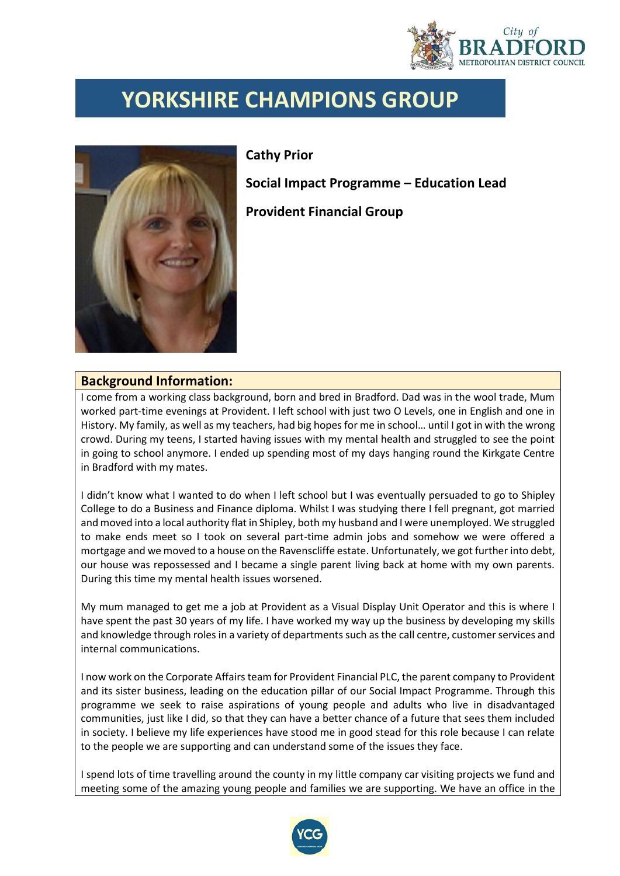

## **YORKSHIRE CHAMPIONS GROUP**



**Cathy Prior** 

**Social Impact Programme – Education Lead**

**Provident Financial Group**

## **Background Information:**

I come from a working class background, born and bred in Bradford. Dad was in the wool trade, Mum worked part-time evenings at Provident. I left school with just two O Levels, one in English and one in History. My family, as well as my teachers, had big hopes for me in school… until I got in with the wrong crowd. During my teens, I started having issues with my mental health and struggled to see the point in going to school anymore. I ended up spending most of my days hanging round the Kirkgate Centre in Bradford with my mates.

I didn't know what I wanted to do when I left school but I was eventually persuaded to go to Shipley College to do a Business and Finance diploma. Whilst I was studying there I fell pregnant, got married and moved into a local authority flat in Shipley, both my husband and I were unemployed. We struggled to make ends meet so I took on several part-time admin jobs and somehow we were offered a mortgage and we moved to a house on the Ravenscliffe estate. Unfortunately, we got further into debt, our house was repossessed and I became a single parent living back at home with my own parents. During this time my mental health issues worsened.

My mum managed to get me a job at Provident as a Visual Display Unit Operator and this is where I have spent the past 30 years of my life. I have worked my way up the business by developing my skills and knowledge through roles in a variety of departments such as the call centre, customer services and internal communications.

I now work on the Corporate Affairsteam for Provident Financial PLC, the parent company to Provident and its sister business, leading on the education pillar of our Social Impact Programme. Through this programme we seek to raise aspirations of young people and adults who live in disadvantaged communities, just like I did, so that they can have a better chance of a future that sees them included in society. I believe my life experiences have stood me in good stead for this role because I can relate to the people we are supporting and can understand some of the issues they face.

I spend lots of time travelling around the county in my little company car visiting projects we fund and meeting some of the amazing young people and families we are supporting. We have an office in the